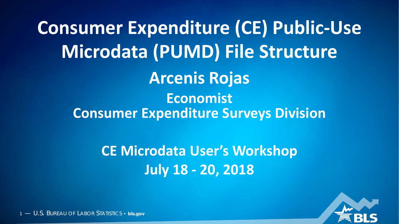**Consumer Expenditure (CE) Public-Use Microdata (PUMD) File Structure Arcenis Rojas Economist Consumer Expenditure Surveys Division**

> **CE Microdata User's Workshop July 18 - 20, 2018**

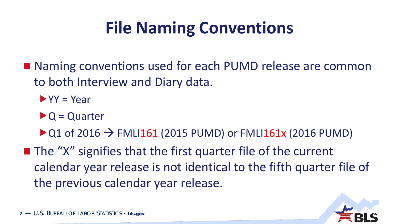## **File Naming Conventions**

- Naming conventions used for each PUMD release are common to both Interview and Diary data.
	- $\blacktriangleright$  YY = Year
	- $\triangleright$  Q = Quarter
	- $\triangleright$  Q1 of 2016  $\rightarrow$  FMLI161 (2015 PUMD) or FMLI161x (2016 PUMD)
- $\blacksquare$  The "X" signifies that the first quarter file of the current calendar year release is not identical to the fifth quarter file of the previous calendar year release.

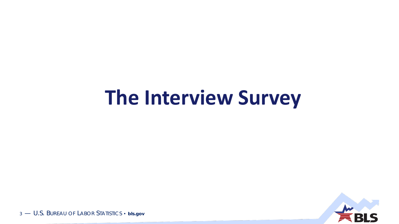# **The Interview Survey**

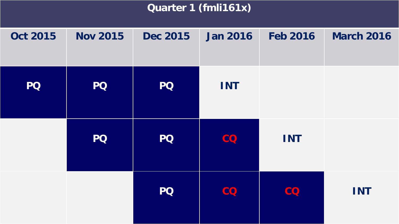#### **Quarter 1 (fmli161x)**

| <b>Oct 2015</b> | <b>Nov 2015</b> | <b>Dec 2015</b> | <b>Jan 2016</b> | <b>Feb 2016</b> | <b>March 2016</b> |
|-----------------|-----------------|-----------------|-----------------|-----------------|-------------------|
| <b>PQ</b>       | <b>PQ</b>       | <b>PQ</b>       | <b>INT</b>      |                 |                   |
|                 | <b>PQ</b>       | <b>PQ</b>       | CO              | <b>INT</b>      |                   |
|                 |                 | <b>PQ</b>       | CO              | CO              | <b>INT</b>        |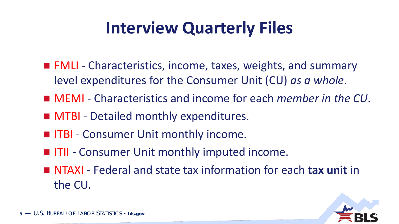## **Interview Quarterly Files**

- FMLI Characteristics, income, taxes, weights, and summary level expenditures for the Consumer Unit (CU) *as a whole*.
- MEMI Characteristics and income for each *member in the CU*.
- **MTBI** Detailed monthly expenditures.
- **ITBI Consumer Unit monthly income.**
- **IFII** Consumer Unit monthly imputed income.
- NTAXI Federal and state tax information for each **tax unit** in the CU.

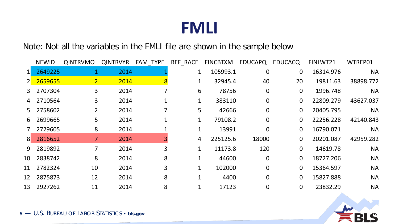#### Note: Not all the variables in the FMLI file are shown in the sample below

|                | <b>NEWID</b> | <b>QINTRVMO</b> | <b>QINTRVYR</b> | FAM TYPE | REF RACE    | <b>FINCBTXM</b> | <b>EDUCAPQ</b> | <b>EDUCACQ</b> | FINLWT21  | WTREP01   |
|----------------|--------------|-----------------|-----------------|----------|-------------|-----------------|----------------|----------------|-----------|-----------|
|                | 2649225      |                 | 2014            |          | $1\,$       | 105993.1        | $\overline{0}$ | $\overline{0}$ | 16314.976 | <b>NA</b> |
| $2^{\square}$  | 2659655      | 2 <sup>1</sup>  | 2014            | 8        |             | 32945.4         | 40             | 20             | 19811.63  | 38898.772 |
| 3              | 2707304      | 3               | 2014            |          | 6           | 78756           | $\overline{0}$ | $\overline{0}$ | 1996.748  | <b>NA</b> |
| 4              | 2710564      | 3               | 2014            |          | 1           | 383110          | $\overline{0}$ | $\mathbf{0}$   | 22809.279 | 43627.037 |
| 5              | 2758602      | $\overline{2}$  | 2014            |          | 5           | 42666           | $\overline{0}$ | $\overline{0}$ | 20405.795 | <b>NA</b> |
| 6              | 2699665      | 5               | 2014            |          |             | 79108.2         | $\Omega$       | $\overline{0}$ | 22256.228 | 42140.843 |
|                | 2729605      | 8               | 2014            |          |             | 13991           | $\Omega$       | $\overline{0}$ | 16790.071 | <b>NA</b> |
| 8 <sup>°</sup> | 2816652      |                 | 2014            |          | 4           | 225125.6        | 18000          | $\overline{0}$ | 20201.087 | 42959.282 |
| 9              | 2819892      |                 | 2014            | 3        |             | 11173.8         | 120            | $\overline{0}$ | 14619.78  | <b>NA</b> |
| 10             | 2838742      | 8               | 2014            | 8        |             | 44600           | $\Omega$       | $\overline{0}$ | 18727.206 | <b>NA</b> |
| 11             | 2782324      | 10              | 2014            | 3        | $\mathbf 1$ | 102000          | $\Omega$       | $\overline{0}$ | 15364.597 | <b>NA</b> |
| 12             | 2875873      | 12              | 2014            | 8        |             | 4400            | $\overline{0}$ | $\overline{0}$ | 15827.888 | <b>NA</b> |
| 13             | 2927262      | 11              | 2014            | 8        |             | 17123           | 0              | $\mathbf{0}$   | 23832.29  | <b>NA</b> |

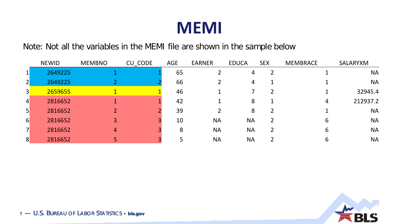

Note: Not all the variables in the MEMI file are shown in the sample below

|                 | <b>NEWID</b> | <b>MEMBNO</b> | CU_CODE | <b>AGE</b> | <b>EARNER</b> | <b>EDUCA</b>   | <b>SEX</b> | <b>MEMBRACE</b> | SALARYXM  |
|-----------------|--------------|---------------|---------|------------|---------------|----------------|------------|-----------------|-----------|
| $\mathbf{1}$    | 2649225      |               |         | 65         |               | 4              | 2          |                 | <b>NA</b> |
| $\overline{2}$  | 2649225      |               |         | 66         |               | $\overline{4}$ |            |                 | <b>NA</b> |
| 3               | 2659655      |               |         | 46         |               |                |            |                 | 32945.4   |
| $\vert$         | 2816652      |               |         | 42         |               | 8              |            | 4               | 212937.2  |
| $\vert 5 \vert$ | 2816652      |               |         | 39         |               | 8              |            |                 | <b>NA</b> |
| 6               | 2816652      |               |         | 10         | <b>NA</b>     | <b>NA</b>      |            | h               | <b>NA</b> |
| $\overline{7}$  | 2816652      | 4             |         | 8          | <b>NA</b>     | <b>NA</b>      |            | b               | <b>NA</b> |
| 8               | 2816652      |               |         |            | <b>NA</b>     | <b>NA</b>      |            |                 | <b>NA</b> |

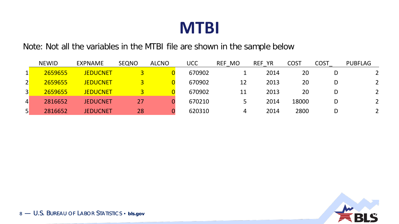

Note: Not all the variables in the MTBI file are shown in the sample below

|                 | <b>NEWID</b> | EXPNAME         | <b>SEQNO</b> | <b>ALCNO</b> | <b>UCC</b> | <b>MO</b><br><b>REF</b> | <b>REF YR</b> | <b>COST</b> | <b>COST</b> | <b>PUBFLAG</b> |
|-----------------|--------------|-----------------|--------------|--------------|------------|-------------------------|---------------|-------------|-------------|----------------|
|                 | 2659655      | <b>JEDUCNET</b> |              |              | 670902     |                         | 2014          | 20          |             |                |
| $\overline{2}$  | 2659655      | <b>JEDUCNET</b> |              |              | 670902     | 12                      | 2013          | 20          | D           | $\overline{2}$ |
| $\overline{3}$  | 2659655      | <b>JEDUCNET</b> |              |              | 670902     | 11                      | 2013          | 20          | D           | $\mathcal{P}$  |
| $\vert 4 \vert$ | 2816652      | <b>JEDUCNET</b> | 27           |              | 670210     |                         | 2014          | 18000       | D           | $\overline{2}$ |
| 5 <sup>1</sup>  | 2816652      | <b>JEDUCNET</b> | 28           |              | 620310     | 4                       | 2014          | 2800        | D           |                |

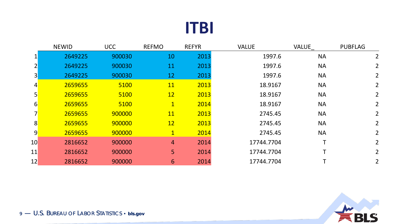#### **ITBI**

|                  | <b>NEWID</b> | <b>UCC</b> | <b>REFMO</b>   | <b>REFYR</b> | <b>VALUE</b> | <b>VALUE</b> | <b>PUBFLAG</b> |
|------------------|--------------|------------|----------------|--------------|--------------|--------------|----------------|
|                  | 2649225      | 900030     | 10             | 2013         | 1997.6       | <b>NA</b>    | $\overline{2}$ |
| $\mathsf{2}$     | 2649225      | 900030     | 11             | 2013         | 1997.6       | <b>NA</b>    | $\overline{2}$ |
| 3                | 2649225      | 900030     | 12             | 2013         | 1997.6       | <b>NA</b>    | $\mathbf{2}$   |
| 4                | 2659655      | 5100       | <b>11</b>      | 2013         | 18.9167      | <b>NA</b>    | 2 <sup>1</sup> |
| 5                | 2659655      | 5100       | 12             | 2013         | 18.9167      | <b>NA</b>    | $2^{\circ}$    |
| $6 \overline{)}$ | 2659655      | 5100       | $\overline{1}$ | 2014         | 18.9167      | <b>NA</b>    | $2^{\circ}$    |
|                  | 2659655      | 900000     | <u>11</u>      | 2013         | 2745.45      | <b>NA</b>    | 2 <sup>1</sup> |
| 8 <sup>l</sup>   | 2659655      | 900000     | 12             | 2013         | 2745.45      | <b>NA</b>    | 2              |
| $\overline{9}$   | 2659655      | 900000     | $\mathbf{1}$   | 2014         | 2745.45      | <b>NA</b>    | 2              |
| 10               | 2816652      | 900000     | $\overline{4}$ | 2014         | 17744.7704   |              | $\overline{2}$ |
| 11               | 2816652      | 900000     | 5              | 2014         | 17744.7704   |              | $\overline{2}$ |
| 12               | 2816652      | 900000     | 6              | 2014         | 17744.7704   |              | 2 <sup>1</sup> |

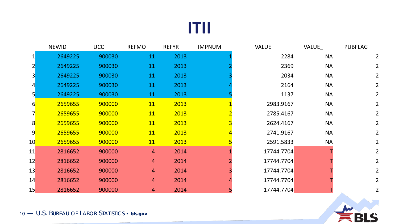#### **ITII**

|                 | <b>NEWID</b> | <b>UCC</b> | <b>REFMO</b>   | <b>REFYR</b> | <b>IMPNUM</b> | <b>VALUE</b> | <b>VALUE</b> | <b>PUBFLAG</b> |
|-----------------|--------------|------------|----------------|--------------|---------------|--------------|--------------|----------------|
| $1\vert$        | 2649225      | 900030     | 11             | 2013         |               | 2284         | <b>NA</b>    | $\overline{2}$ |
| $\overline{2}$  | 2649225      | 900030     | 11             | 2013         |               | 2369         | <b>NA</b>    | $2^{\circ}$    |
| 3               | 2649225      | 900030     | 11             | 2013         |               | 2034         | <b>NA</b>    | $\overline{2}$ |
| $\vert 4 \vert$ | 2649225      | 900030     | 11             | 2013         |               | 2164         | <b>NA</b>    | $\overline{2}$ |
| 5 <sup>1</sup>  | 2649225      | 900030     | 11             | 2013         |               | 1137         | <b>NA</b>    | $\overline{2}$ |
| $6 \mid$        | 2659655      | 900000     | <b>11</b>      | 2013         |               | 2983.9167    | <b>NA</b>    | $2^{\circ}$    |
|                 | 2659655      | 900000     | <b>11</b>      | 2013         |               | 2785.4167    | <b>NA</b>    | $\overline{2}$ |
| 8               | 2659655      | 900000     | <b>11</b>      | 2013         |               | 2624.4167    | <b>NA</b>    | $\overline{2}$ |
| 9               | 2659655      | 900000     | <b>11</b>      | 2013         |               | 2741.9167    | <b>NA</b>    | $2^{\circ}$    |
| 10 <sup>°</sup> | 2659655      | 900000     | <b>11</b>      | 2013         |               | 2591.5833    | <b>NA</b>    | $\overline{2}$ |
| 11              | 2816652      | 900000     | $\overline{4}$ | 2014         |               | 17744.7704   |              | $2^{\circ}$    |
| 12              | 2816652      | 900000     | 4              | 2014         |               | 17744.7704   |              | $2^{\circ}$    |
| 13              | 2816652      | 900000     | 4              | 2014         |               | 17744.7704   |              | $2^{\circ}$    |
| 14              | 2816652      | 900000     | 4              | 2014         |               | 17744.7704   |              | 2 <sup>1</sup> |
| 15              | 2816652      | 900000     | 4              | 2014         |               | 17744.7704   |              | $\overline{2}$ |

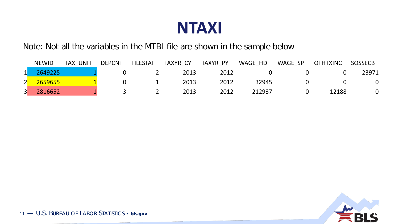

Note: Not all the variables in the MTBI file are shown in the sample below

|                   | <b>NEWID</b> | UNIT<br><b>TAX</b> | <b>DEPCNT</b> | <b>FILESTAT</b> | TAXYR CY | TAXYR PY | WAGE HD | WAGE SP | <b>OTHTXINC</b> | <b>SOSSECB</b> |
|-------------------|--------------|--------------------|---------------|-----------------|----------|----------|---------|---------|-----------------|----------------|
| $\mathbf{1}$<br>∸ | 2649225      |                    |               |                 | 2013     | 2012     |         |         |                 | 23971          |
| 2 <sup>l</sup>    | 2659655      |                    |               |                 | 2013     | 2012     | 32945   |         |                 | 0              |
| $\vert 3 \vert$   | 2816652      |                    |               |                 | 2013     | 2012     | 212937  |         | 12188           |                |

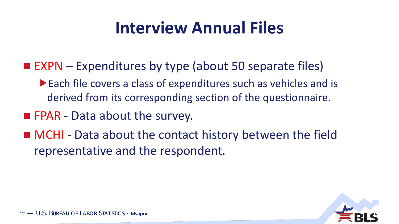## **Interview Annual Files**

- $\blacksquare$  EXPN Expenditures by type (about 50 separate files)
	- Each file covers a class of expenditures such as vehicles and is derived from its corresponding section of the questionnaire.
- **FPAR** Data about the survey.
- MCHI Data about the contact history between the field representative and the respondent.

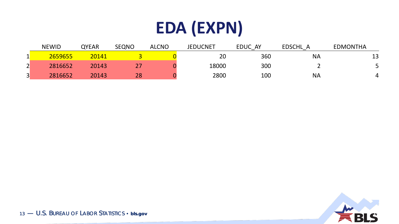## **EDA (EXPN)**

|                         | <b>NEWID</b> | <b>QYEAR</b> | <b>SEQNO</b> | <b>ALCNO</b> | <b>JEDUCNET</b> | EDUC AY | <b>EDSCHL</b> | <b>EDMONTHA</b> |
|-------------------------|--------------|--------------|--------------|--------------|-----------------|---------|---------------|-----------------|
|                         | 2659655      | 20141        |              |              | 20              | 360     | <b>NA</b>     | 13              |
| $\mathbf{\hat{z}}$<br>L | 2816652      | 20143        |              |              | 18000           | 300     |               |                 |
| $\vert 3 \vert$         | 2816652      | 20143        | 28           |              | 2800            | 100     | <b>NA</b>     |                 |

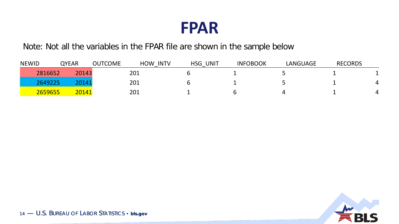

Note: Not all the variables in the FPAR file are shown in the sample below

| <b>NEWID</b> | <b>QYEAR</b> | <b>OUTCOME</b> | <b>HOW</b><br><b>INTV</b> | HSG<br>UNIT<br>_ | <b>INFOBOOK</b> | LANGUAGE | <b>RECORDS</b> |  |
|--------------|--------------|----------------|---------------------------|------------------|-----------------|----------|----------------|--|
| 2816652      | 20143        |                | 201                       |                  |                 |          |                |  |
| 2649225      | 20141        |                | 201                       |                  |                 |          |                |  |
| 2659655      | 20141        |                | 201                       |                  |                 |          |                |  |

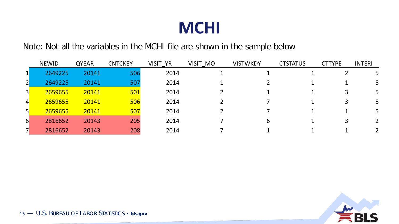#### **MCHI**

Note: Not all the variables in the MCHI file are shown in the sample below

|                  | <b>NEWID</b> | <b>QYEAR</b> | <b>CNTCKEY</b> | VISIT YR | VISIT MO | <b>VISTWKDY</b> | <b>CTSTATUS</b> | <b>CTTYPE</b> | <b>INTERI</b> |
|------------------|--------------|--------------|----------------|----------|----------|-----------------|-----------------|---------------|---------------|
|                  | 2649225      | 20141        | 506            | 2014     |          |                 |                 |               |               |
|                  | 2649225      | 20141        | 507            | 2014     |          |                 |                 |               |               |
| $\overline{3}$   | 2659655      | 20141        | 501            | 2014     |          |                 |                 |               | 5             |
| $\overline{4}$   | 2659655      | 20141        | 506            | 2014     |          |                 |                 |               |               |
| 5 <sup>1</sup>   | 2659655      | 20141        | 507            | 2014     |          |                 |                 |               | 5.            |
| $6 \overline{6}$ | 2816652      | 20143        | 205            | 2014     |          | h               |                 |               |               |
|                  | 2816652      | 20143        | 208            | 2014     |          |                 |                 |               |               |

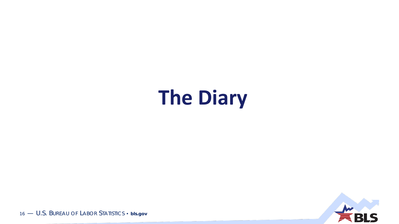# **The Diary**

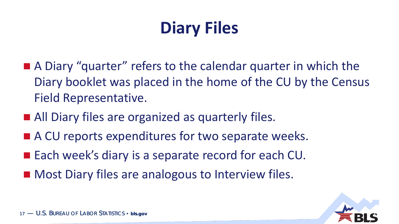## **Diary Files**

- A Diary "quarter" refers to the calendar quarter in which the Diary booklet was placed in the home of the CU by the Census Field Representative.
- All Diary files are organized as quarterly files.
- A CU reports expenditures for two separate weeks.
- Each week's diary is a separate record for each CU.
- Most Diary files are analogous to Interview files.

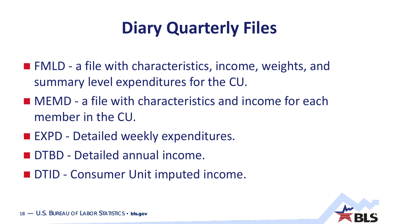## **Diary Quarterly Files**

- **FMLD** a file with characteristics, income, weights, and summary level expenditures for the CU.
- MEMD a file with characteristics and income for each member in the CU.
- **EXPD Detailed weekly expenditures.**
- **DTBD** Detailed annual income.
- **DTID Consumer Unit imputed income.**

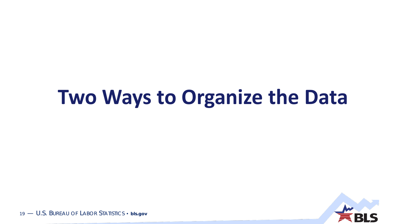# **Two Ways to Organize the Data**

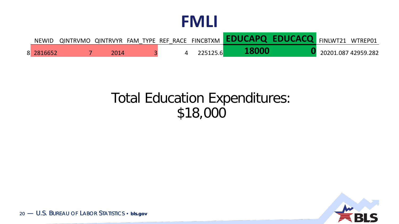| <b>NEWID</b> |      |  |          | QINTRVMO QINTRVYR FAM TYPE REF RACE FINCBTXM <b>EDUCAPQ EDUCACQ</b> FINLWT21 WTREP01 |                     |  |
|--------------|------|--|----------|--------------------------------------------------------------------------------------|---------------------|--|
| 8 2816652    | 2014 |  | 225125.6 | 18000                                                                                | 20201.087 42959.282 |  |

#### Total Education Expenditures: \$18,000

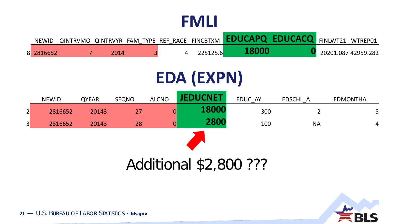| <b>NEWID</b> |      |  |          | QINTRVMO QINTRVYR FAM TYPE REF RACE FINCBTXM <b>EDUCAPQ EDUCACQ</b> FINLWT21 WTREP01 |  |                     |
|--------------|------|--|----------|--------------------------------------------------------------------------------------|--|---------------------|
| 8 2816652    | 2014 |  | 225125.6 | 18000                                                                                |  | 20201.087 42959.282 |

## **EDA (EXPN)**

|                 | <b>NEWID</b> | <b>QYEAR</b> | <b>SEQNO</b> | <b>ALCNO</b> | JEDUCNET <sup>®</sup> | EDUC AY | EDSCHL A  | <b>EDMONTHA</b> |  |  |
|-----------------|--------------|--------------|--------------|--------------|-----------------------|---------|-----------|-----------------|--|--|
| $\overline{2}$  | 2816652      | 20143        | 27           | 0            | 18000                 | 300     |           | 5 <sup>5</sup>  |  |  |
| $\vert 3 \vert$ | 2816652      | 20143        | 28           |              | 2800                  | 100     | <b>NA</b> | $\overline{4}$  |  |  |
|                 |              |              |              |              |                       |         |           |                 |  |  |

#### Additional \$2,800 ???

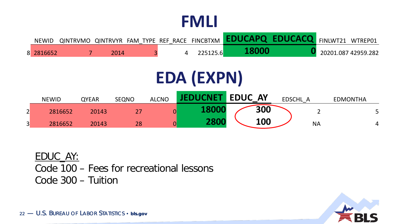| <b>NEWID</b> |  |  |  | QINTRVMO QINTRVYR FAM TYPE REF RACE FINCBTXM <b>EDUCAPQ EDUCACQ</b> FINLWT21 WTREP01 |                     |
|--------------|--|--|--|--------------------------------------------------------------------------------------|---------------------|
| 8 2816652    |  |  |  |                                                                                      | 20201.087 42959.282 |

## **EDA (EXPN)**

|        | <b>NEWID</b> | <b>QYEAR</b> | <b>SEQNO</b> | <b>ALCNO</b> | <b>IFDUCNET</b> | <b>EDUC AY</b> |     | <b>EDSCHL</b> |           | <b>EDMONTHA</b> |   |
|--------|--------------|--------------|--------------|--------------|-----------------|----------------|-----|---------------|-----------|-----------------|---|
| ◠<br>∠ | 2816652      | 20143        |              |              |                 |                | 300 |               |           |                 |   |
| 3      | 2816652      | 20143        | 28           |              | <b>2800</b>     |                | 100 |               | <b>NA</b> |                 | 4 |

EDUC\_AY: Code 100 – Fees for recreational lessons Code 300 – Tuition

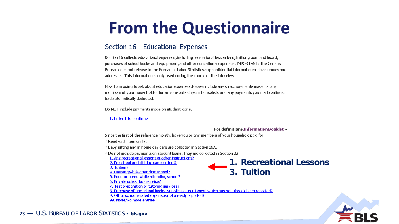## **From the Questionnaire**

#### Section 16 - Educational Expenses

Section 16 collects educational expenses, including recreational lesson fees, tuition, room and board, purchases of school books and equipment, and other educational expenses. IMPORTANT: The Census Bureau does not release to the Bureau of Labor Statistics any confidential information such as names and addresses. This information is only used during the course of the interview.

Now I am going to ask about education expenses. Please include any direct payments made for any members of your household or for anyone outside your household and any payments you made online or had automatically deducted.

Do NOT include payments made on student loans.

#### 1. Enter 1 to continue

#### For definitions Information Booklet »

**3. Tuition**

**1. Recreational Lessons**

Since the first of the reference month, have you or any members of your household paid for -

\* Read each item on list

\* Baby sitting and in home day care are collected in Section 19A.

\* Do not include payments on student loans. They are collected in Section 22

1. Any recreational lessons or other instructions?

2. Preschool or child day care centers?

3. Tuition? 4. Housing while attending school?

5. Food or board while attending school?

6. Private school bus service?

7. Test preparation or tutoring services?

8. Purchase of any school books, supplies, or equipment which has not already been reported?

9. Other school related expenses not already reported?

99. None/No more entries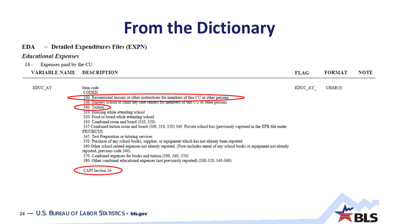## **From the Dictionary**

#### EDA - Detailed Expenditures Files (EXPN)

#### **Educational Expenses**

**EDUC AY** 

Expenses paid by the CU 16 -

**VARIABLE NAME DESCRIPTION** 

**FORMAT FLAG NOTE** 

EDUC\_AY\_  $CHAR(3)$ 

Item code **CODED** 100 Recreational lessons or other instructions for members of this CU or other persons 200 Nursery school or child day care centers for members or this CU or other persons 300 Tuition 310 Housing while attending school 320 Food or board while attending school 330 Combined room and board (310, 320) 335 Combined tuition room and board (300, 310, 320) 340 Private school bus (previously captured in the XPB file under **PRIVBUSX** 345 Test Preparation or tutoring services 350 Purchase of any school books, supplies, or equipment which has not already been reported 360 Other school related expenses not already reported. (Now includes rental of any school books or equipment not already reported, previous code 340). 370 Combined expenses for books and tuition (300, 340-350) 380 Other combined educational expenses (not previously reported) (100-320, 340-360) **CAPI** Section 16

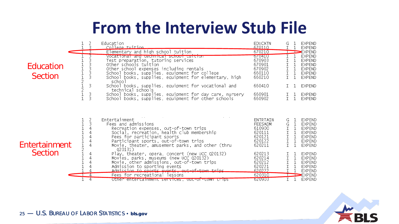## **From the Interview Stub File**

|                                 |                       | Education                                                                                                                                                                                                                                                                                                                                                                                                                                                                                                                                                                           | <b>EDUCATN</b>                                                                                                                                     |                                                                                 | <b>EXPEND</b>                                                                                                                                                                                           |
|---------------------------------|-----------------------|-------------------------------------------------------------------------------------------------------------------------------------------------------------------------------------------------------------------------------------------------------------------------------------------------------------------------------------------------------------------------------------------------------------------------------------------------------------------------------------------------------------------------------------------------------------------------------------|----------------------------------------------------------------------------------------------------------------------------------------------------|---------------------------------------------------------------------------------|---------------------------------------------------------------------------------------------------------------------------------------------------------------------------------------------------------|
|                                 |                       | College tuition                                                                                                                                                                                                                                                                                                                                                                                                                                                                                                                                                                     | 670110                                                                                                                                             |                                                                                 | <b>EXPEND</b>                                                                                                                                                                                           |
|                                 |                       | Elementary and high school tuition                                                                                                                                                                                                                                                                                                                                                                                                                                                                                                                                                  | 670210                                                                                                                                             |                                                                                 | EXPEND                                                                                                                                                                                                  |
|                                 |                       | Vocational and technical school turtion                                                                                                                                                                                                                                                                                                                                                                                                                                                                                                                                             | 070410                                                                                                                                             |                                                                                 | <b>EXPEND</b>                                                                                                                                                                                           |
|                                 |                       | Test preparation, tutoring services                                                                                                                                                                                                                                                                                                                                                                                                                                                                                                                                                 | 670903                                                                                                                                             |                                                                                 | <b>EXPEND</b>                                                                                                                                                                                           |
| Education                       |                       | Other schools tuition                                                                                                                                                                                                                                                                                                                                                                                                                                                                                                                                                               | 670901                                                                                                                                             |                                                                                 | <b>EXPEND</b>                                                                                                                                                                                           |
|                                 |                       | Other school expenses including rentals                                                                                                                                                                                                                                                                                                                                                                                                                                                                                                                                             | 670902                                                                                                                                             | 1                                                                               | <b>EXPEND</b>                                                                                                                                                                                           |
|                                 |                       | School books, supplies, equipment for college                                                                                                                                                                                                                                                                                                                                                                                                                                                                                                                                       | 660110                                                                                                                                             | $\mathbf I$<br>$\mathbf{1}$                                                     | <b>EXPEND</b>                                                                                                                                                                                           |
| <b>Section</b>                  |                       | School books, supplies, equipment for elementary, high                                                                                                                                                                                                                                                                                                                                                                                                                                                                                                                              | 660210                                                                                                                                             | T.<br><b>L</b>                                                                  | <b>EXPEND</b>                                                                                                                                                                                           |
|                                 |                       | school                                                                                                                                                                                                                                                                                                                                                                                                                                                                                                                                                                              |                                                                                                                                                    |                                                                                 |                                                                                                                                                                                                         |
|                                 | 3                     | School books, supplies, equipment for vocational and                                                                                                                                                                                                                                                                                                                                                                                                                                                                                                                                | 660410                                                                                                                                             |                                                                                 | <b>EXPEND</b>                                                                                                                                                                                           |
|                                 |                       | technical schools                                                                                                                                                                                                                                                                                                                                                                                                                                                                                                                                                                   |                                                                                                                                                    |                                                                                 |                                                                                                                                                                                                         |
|                                 | 3                     | School books, supplies, equipment for day care, nursery                                                                                                                                                                                                                                                                                                                                                                                                                                                                                                                             | 660901                                                                                                                                             |                                                                                 | <b>EXPEND</b>                                                                                                                                                                                           |
|                                 |                       | School books, supplies, equipment for other schools                                                                                                                                                                                                                                                                                                                                                                                                                                                                                                                                 | 660902                                                                                                                                             | $\mathbf{1}$                                                                    | <b>EXPEND</b>                                                                                                                                                                                           |
| Entertainment<br><b>Section</b> | 2<br>3<br>4<br>4<br>4 | Entertainment<br>Fees and admissions<br>Recreation expenses, out-of-town trips<br>Social, recreation, health club membership<br>Fees for participant sports<br>Participant sports, out-of-town trips<br>Movie, theater, amusement parks, and other (thru<br>Q20131)<br>Play, theater, opera, concert (new UCC Q20132)<br>Movies, parks, museums (new UCC Q20132)<br>Movie, other admissions, out-of-town trips<br>Admission to sporting events<br>Admission to sports events, out-of-town trins<br>Fees for recreational lessons<br>Other entertainment services, out-of-town trips | ENTRTAIN<br><b>FEESADM</b><br>610900<br>620111<br>620121<br>620122<br>620211<br>620213<br>620214<br>620212<br>620221<br>620222<br>620310<br>020903 | G<br>G<br>$\mathbbm{I}$<br>$\mathbf{1}$<br>$\mathbbm{I}$<br>$\mathbbm{I}$<br>T. | <b>EXPEND</b><br><b>EXPEND</b><br><b>EXPEND</b><br><b>EXPEND</b><br><b>EXPEND</b><br><b>EXPEND</b><br><b>EXPEND</b><br>EXPEND<br>EXPEND<br><b>EXPEND</b><br>EXPEND<br><b>EXPEND</b><br>EXPEND<br>EXPEND |

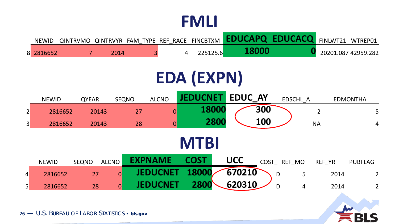| <b>NEWID</b> |      |  |          | QINTRVMO QINTRVYR FAM TYPE REF RACE FINCBTXM <b>EDUCAPQ EDUCACQ</b> FINLWT21 WTREP01 |                     |
|--------------|------|--|----------|--------------------------------------------------------------------------------------|---------------------|
| 8 2816652    | 2014 |  | 225125.6 |                                                                                      | 20201.087 42959.282 |

## **EDA (EXPN)**

|                 | <b>NEWID</b> | <b>QYEAR</b> | <b>SEQNO</b>   | <b>ALCNO</b>    | <b>JEDUCNET</b> |       | <b>EDUC AY</b> |            | EDSCHL A    |                | <b>EDMONTHA</b> |  |
|-----------------|--------------|--------------|----------------|-----------------|-----------------|-------|----------------|------------|-------------|----------------|-----------------|--|
| $\overline{2}$  | 2816652      | 20143        | 27             | $\overline{0}$  |                 | 18000 |                | 300        |             | $\overline{2}$ | 5 <sup>5</sup>  |  |
| $\vert 3 \vert$ | 2816652      | 20143        | 28             | $\overline{0}$  |                 | 2800  |                | <b>100</b> |             | <b>NA</b>      | $\overline{4}$  |  |
|                 | <b>MTBI</b>  |              |                |                 |                 |       |                |            |             |                |                 |  |
|                 | <b>NEWID</b> | <b>SEQNO</b> | <b>ALCNO</b>   | <b>EXPNAME</b>  | <b>COST</b>     |       | <b>UCC</b>     |            | COST REF MO | REF YR         | <b>PUBFLAG</b>  |  |
| $\overline{4}$  | 2816652      | 27           | $\overline{0}$ | <b>JEDUCNET</b> | 18000           |       | 670210         |            | 5<br>D      | 2014           | $\overline{2}$  |  |
| $\vert 5 \vert$ | 2816652      | 28           | $\overline{0}$ | <b>JEDUCNET</b> | 2800            |       | 620310         |            | D<br>4      | 2014           | $\overline{2}$  |  |

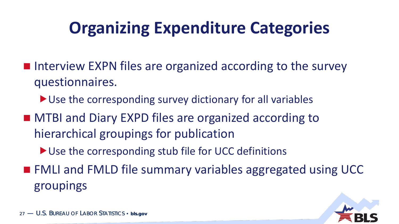## **Organizing Expenditure Categories**

- **Interview EXPN files are organized according to the survey** questionnaires.
	- ▶ Use the corresponding survey dictionary for all variables
- MTBI and Diary EXPD files are organized according to hierarchical groupings for publication
	- ▶ Use the corresponding stub file for UCC definitions
- FMLI and FMLD file summary variables aggregated using UCC groupings

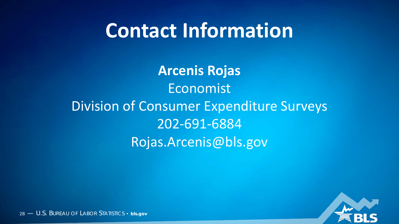## **Contact Information**

**Arcenis Rojas** Economist Division of Consumer Expenditure Surveys 202-691-6884 Rojas.Arcenis@bls.gov